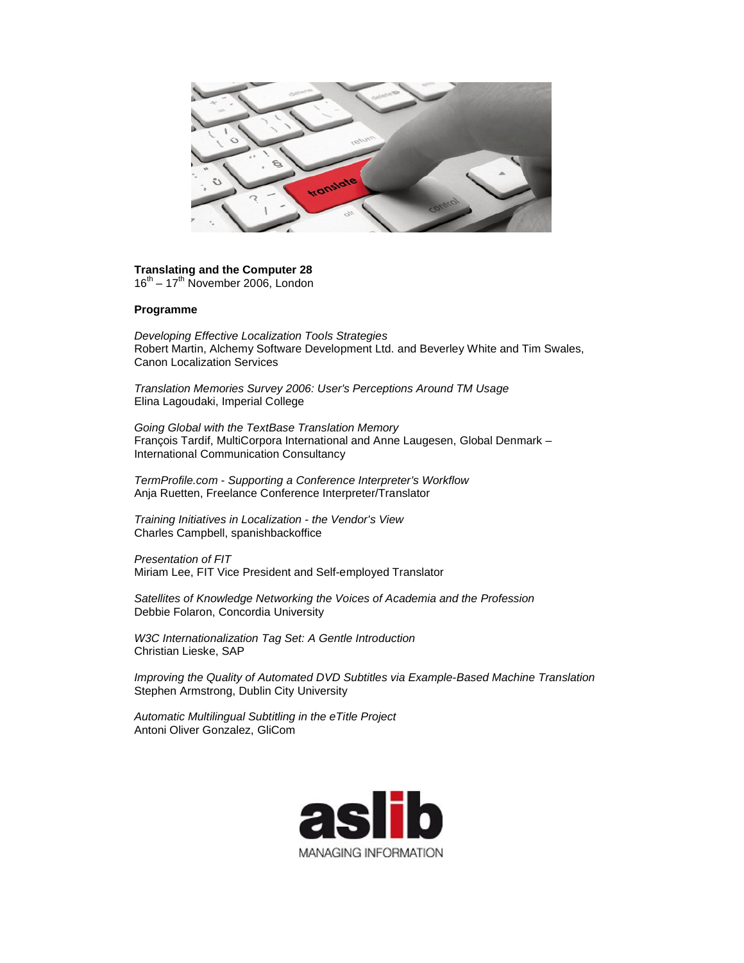

## **Translating and the Computer 28**

 $16^{th}$  –  $17^{th}$  November 2006, London

## **Programme**

*Developing Effective Localization Tools Strategies* Robert Martin, Alchemy Software Development Ltd. and Beverley White and Tim Swales, Canon Localization Services

*Translation Memories Survey 2006: User's Perceptions Around TM Usage* Elina Lagoudaki, Imperial College

*Going Global with the TextBase Translation Memory* François Tardif, MultiCorpora International and Anne Laugesen, Global Denmark – International Communication Consultancy

*TermProfile.com - Supporting a Conference Interpreter's Workflow* Anja Ruetten, Freelance Conference Interpreter/Translator

*Training Initiatives in Localization - the Vendor's View* Charles Campbell, spanishbackoffice

*Presentation of FIT* Miriam Lee, FIT Vice President and Self-employed Translator

*Satellites of Knowledge Networking the Voices of Academia and the Profession* Debbie Folaron, Concordia University

*W3C Internationalization Tag Set: A Gentle Introduction* Christian Lieske, SAP

*Improving the Quality of Automated DVD Subtitles via Example-Based Machine Translation* Stephen Armstrong, Dublin City University

*Automatic Multilingual Subtitling in the eTitle Project* Antoni Oliver Gonzalez, GliCom